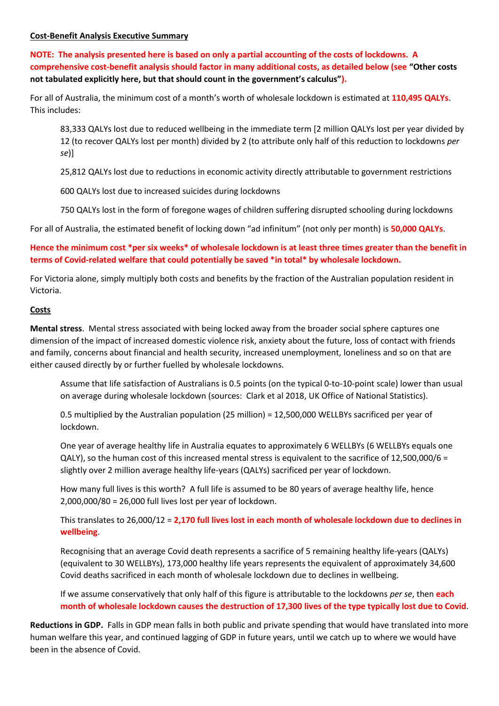#### **Cost-Benefit Analysis Executive Summary**

**NOTE: The analysis presented here is based on only a partial accounting of the costs of lockdowns. A comprehensive cost-benefit analysis should factor in many additional costs, as detailed below (see "Other costs not tabulated explicitly here, but that should count in the government's calculus").**

For all of Australia, the minimum cost of a month's worth of wholesale lockdown is estimated at **110,495 QALYs**. This includes:

83,333 QALYs lost due to reduced wellbeing in the immediate term [2 million QALYs lost per year divided by 12 (to recover QALYs lost per month) divided by 2 (to attribute only half of this reduction to lockdowns *per se*)]

25,812 QALYs lost due to reductions in economic activity directly attributable to government restrictions

600 QALYs lost due to increased suicides during lockdowns

750 QALYs lost in the form of foregone wages of children suffering disrupted schooling during lockdowns

For all of Australia, the estimated benefit of locking down "ad infinitum" (not only per month) is **50,000 QALYs**.

# **Hence the minimum cost \*per six weeks\* of wholesale lockdown is at least three times greater than the benefit in terms of Covid-related welfare that could potentially be saved \*in total\* by wholesale lockdown.**

For Victoria alone, simply multiply both costs and benefits by the fraction of the Australian population resident in Victoria.

#### **Costs**

**Mental stress**. Mental stress associated with being locked away from the broader social sphere captures one dimension of the impact of increased domestic violence risk, anxiety about the future, loss of contact with friends and family, concerns about financial and health security, increased unemployment, loneliness and so on that are either caused directly by or further fuelled by wholesale lockdowns.

Assume that life satisfaction of Australians is 0.5 points (on the typical 0-to-10-point scale) lower than usual on average during wholesale lockdown (sources: Clark et al 2018, UK Office of National Statistics).

0.5 multiplied by the Australian population (25 million) = 12,500,000 WELLBYs sacrificed per year of lockdown.

One year of average healthy life in Australia equates to approximately 6 WELLBYs (6 WELLBYs equals one QALY), so the human cost of this increased mental stress is equivalent to the sacrifice of 12,500,000/6 = slightly over 2 million average healthy life-years (QALYs) sacrificed per year of lockdown.

How many full lives is this worth? A full life is assumed to be 80 years of average healthy life, hence 2,000,000/80 = 26,000 full lives lost per year of lockdown.

This translates to 26,000/12 = **2,170 full lives lost in each month of wholesale lockdown due to declines in wellbeing**.

Recognising that an average Covid death represents a sacrifice of 5 remaining healthy life-years (QALYs) (equivalent to 30 WELLBYs), 173,000 healthy life years represents the equivalent of approximately 34,600 Covid deaths sacrificed in each month of wholesale lockdown due to declines in wellbeing.

If we assume conservatively that only half of this figure is attributable to the lockdowns *per se*, then **each month of wholesale lockdown causes the destruction of 17,300 lives of the type typically lost due to Covid**.

**Reductions in GDP.** Falls in GDP mean falls in both public and private spending that would have translated into more human welfare this year, and continued lagging of GDP in future years, until we catch up to where we would have been in the absence of Covid.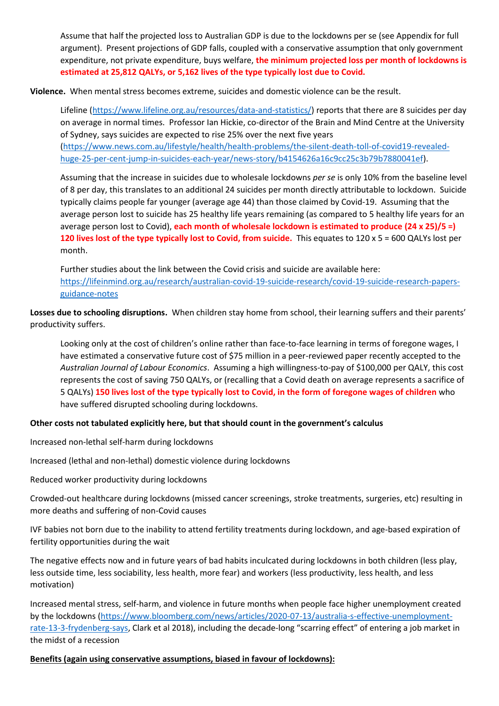Assume that half the projected loss to Australian GDP is due to the lockdowns per se (see Appendix for full argument). Present projections of GDP falls, coupled with a conservative assumption that only government expenditure, not private expenditure, buys welfare, **the minimum projected loss per month of lockdowns is estimated at 25,812 QALYs, or 5,162 lives of the type typically lost due to Covid.**

**Violence.** When mental stress becomes extreme, suicides and domestic violence can be the result.

Lifeline [\(https://www.lifeline.org.au/resources/data-and-statistics/\)](https://www.lifeline.org.au/resources/data-and-statistics/) reports that there are 8 suicides per day on average in normal times. Professor Ian Hickie, co-director of the Brain and Mind Centre at the University of Sydney, says suicides are expected to rise 25% over the next five years

[\(https://www.news.com.au/lifestyle/health/health-problems/the-silent-death-toll-of-covid19-revealed](https://www.news.com.au/lifestyle/health/health-problems/the-silent-death-toll-of-covid19-revealed-huge-25-per-cent-jump-in-suicides-each-year/news-story/b4154626a16c9cc25c3b79b7880041ef)[huge-25-per-cent-jump-in-suicides-each-year/news-story/b4154626a16c9cc25c3b79b7880041ef\)](https://www.news.com.au/lifestyle/health/health-problems/the-silent-death-toll-of-covid19-revealed-huge-25-per-cent-jump-in-suicides-each-year/news-story/b4154626a16c9cc25c3b79b7880041ef).

Assuming that the increase in suicides due to wholesale lockdowns *per se* is only 10% from the baseline level of 8 per day, this translates to an additional 24 suicides per month directly attributable to lockdown. Suicide typically claims people far younger (average age 44) than those claimed by Covid-19. Assuming that the average person lost to suicide has 25 healthy life years remaining (as compared to 5 healthy life years for an average person lost to Covid), **each month of wholesale lockdown is estimated to produce (24 x 25)/5 =) 120 lives lost of the type typically lost to Covid, from suicide.** This equates to 120 x 5 = 600 QALYs lost per month.

Further studies about the link between the Covid crisis and suicide are available here: [https://lifeinmind.org.au/research/australian-covid-19-suicide-research/covid-19-suicide-research-papers](https://lifeinmind.org.au/research/australian-covid-19-suicide-research/covid-19-suicide-research-papers-guidance-notes)[guidance-notes](https://lifeinmind.org.au/research/australian-covid-19-suicide-research/covid-19-suicide-research-papers-guidance-notes)

**Losses due to schooling disruptions.** When children stay home from school, their learning suffers and their parents' productivity suffers.

Looking only at the cost of children's online rather than face-to-face learning in terms of foregone wages, I have estimated a conservative future cost of \$75 million in a peer-reviewed paper recently accepted to the *Australian Journal of Labour Economics*. Assuming a high willingness-to-pay of \$100,000 per QALY, this cost represents the cost of saving 750 QALYs, or (recalling that a Covid death on average represents a sacrifice of 5 QALYs) **150 lives lost of the type typically lost to Covid, in the form of foregone wages of children** who have suffered disrupted schooling during lockdowns.

### **Other costs not tabulated explicitly here, but that should count in the government's calculus**

Increased non-lethal self-harm during lockdowns

Increased (lethal and non-lethal) domestic violence during lockdowns

Reduced worker productivity during lockdowns

Crowded-out healthcare during lockdowns (missed cancer screenings, stroke treatments, surgeries, etc) resulting in more deaths and suffering of non-Covid causes

IVF babies not born due to the inability to attend fertility treatments during lockdown, and age-based expiration of fertility opportunities during the wait

The negative effects now and in future years of bad habits inculcated during lockdowns in both children (less play, less outside time, less sociability, less health, more fear) and workers (less productivity, less health, and less motivation)

Increased mental stress, self-harm, and violence in future months when people face higher unemployment created by the lockdowns [\(https://www.bloomberg.com/news/articles/2020-07-13/australia-s-effective-unemployment](https://www.bloomberg.com/news/articles/2020-07-13/australia-s-effective-unemployment-rate-13-3-frydenberg-says)[rate-13-3-frydenberg-says,](https://www.bloomberg.com/news/articles/2020-07-13/australia-s-effective-unemployment-rate-13-3-frydenberg-says) Clark et al 2018), including the decade-long "scarring effect" of entering a job market in the midst of a recession

**Benefits (again using conservative assumptions, biased in favour of lockdowns):**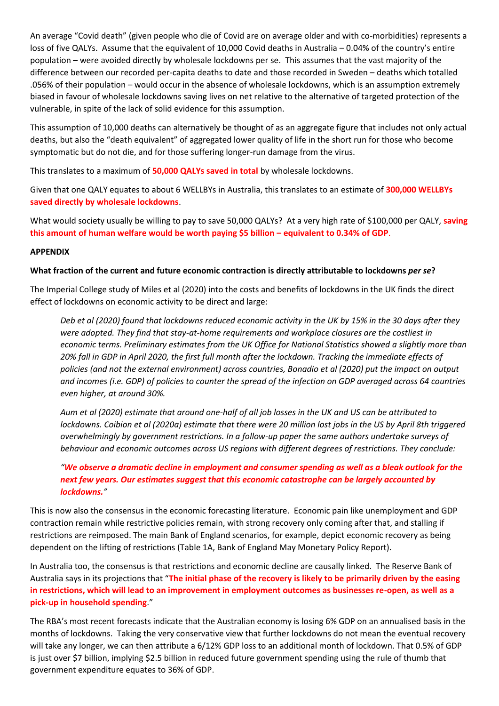An average "Covid death" (given people who die of Covid are on average older and with co-morbidities) represents a loss of five QALYs. Assume that the equivalent of 10,000 Covid deaths in Australia – 0.04% of the country's entire population – were avoided directly by wholesale lockdowns per se. This assumes that the vast majority of the difference between our recorded per-capita deaths to date and those recorded in Sweden – deaths which totalled .056% of their population – would occur in the absence of wholesale lockdowns, which is an assumption extremely biased in favour of wholesale lockdowns saving lives on net relative to the alternative of targeted protection of the vulnerable, in spite of the lack of solid evidence for this assumption.

This assumption of 10,000 deaths can alternatively be thought of as an aggregate figure that includes not only actual deaths, but also the "death equivalent" of aggregated lower quality of life in the short run for those who become symptomatic but do not die, and for those suffering longer-run damage from the virus.

This translates to a maximum of **50,000 QALYs saved in total** by wholesale lockdowns.

Given that one QALY equates to about 6 WELLBYs in Australia, this translates to an estimate of **300,000 WELLBYs saved directly by wholesale lockdowns**.

What would society usually be willing to pay to save 50,000 QALYs? At a very high rate of \$100,000 per QALY, **saving this amount of human welfare would be worth paying \$5 billion – equivalent to 0.34% of GDP**.

#### **APPENDIX**

#### **What fraction of the current and future economic contraction is directly attributable to lockdowns** *per se***?**

The Imperial College study of Miles et al (2020) into the costs and benefits of lockdowns in the UK finds the direct effect of lockdowns on economic activity to be direct and large:

*Deb et al (2020) found that lockdowns reduced economic activity in the UK by 15% in the 30 days after they were adopted. They find that stay-at-home requirements and workplace closures are the costliest in economic terms. Preliminary estimates from the UK Office for National Statistics showed a slightly more than 20% fall in GDP in April 2020, the first full month after the lockdown. Tracking the immediate effects of policies (and not the external environment) across countries, Bonadio et al (2020) put the impact on output and incomes (i.e. GDP) of policies to counter the spread of the infection on GDP averaged across 64 countries even higher, at around 30%.*

*Aum et al (2020) estimate that around one-half of all job losses in the UK and US can be attributed to lockdowns. Coibion et al (2020a) estimate that there were 20 million lost jobs in the US by April 8th triggered overwhelmingly by government restrictions. In a follow-up paper the same authors undertake surveys of behaviour and economic outcomes across US regions with different degrees of restrictions. They conclude:*

# *"We observe a dramatic decline in employment and consumer spending as well as a bleak outlook for the next few years. Our estimates suggest that this economic catastrophe can be largely accounted by lockdowns."*

This is now also the consensus in the economic forecasting literature. Economic pain like unemployment and GDP contraction remain while restrictive policies remain, with strong recovery only coming after that, and stalling if restrictions are reimposed. The main Bank of England scenarios, for example, depict economic recovery as being dependent on the lifting of restrictions (Table 1A, Bank of England May Monetary Policy Report).

In Australia too, the consensus is that restrictions and economic decline are causally linked. The Reserve Bank of Australia says in its projections that "**The initial phase of the recovery is likely to be primarily driven by the easing in restrictions, which will lead to an improvement in employment outcomes as businesses re-open, as well as a pick-up in household spending**."

The RBA's most recent forecasts indicate that the Australian economy is losing 6% GDP on an annualised basis in the months of lockdowns. Taking the very conservative view that further lockdowns do not mean the eventual recovery will take any longer, we can then attribute a 6/12% GDP loss to an additional month of lockdown. That 0.5% of GDP is just over \$7 billion, implying \$2.5 billion in reduced future government spending using the rule of thumb that government expenditure equates to 36% of GDP.